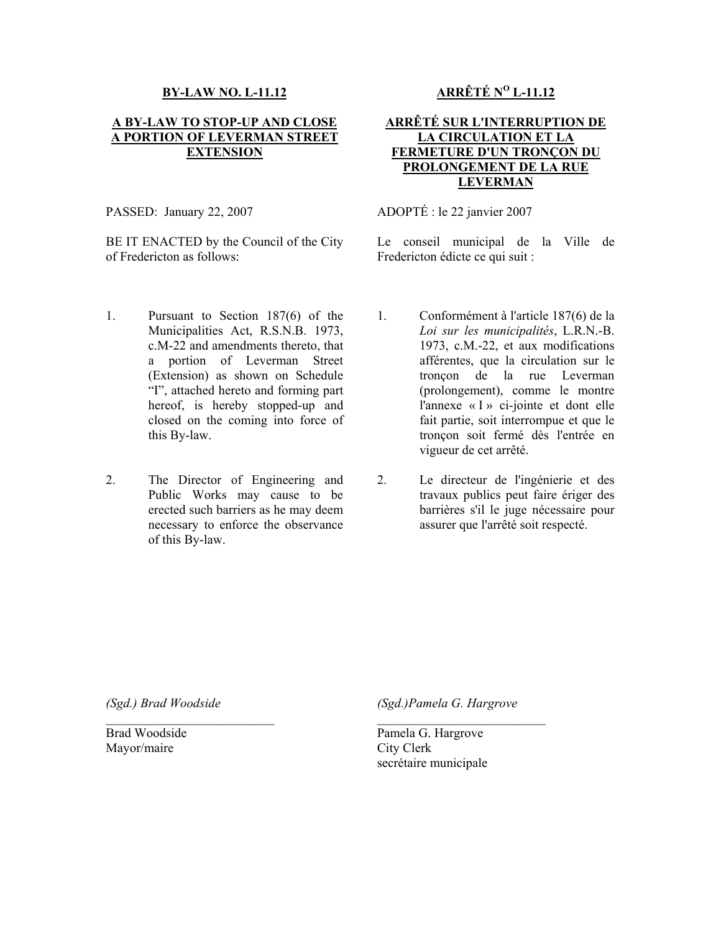## **BY-LAW NO. L-11.12**

## **A BY-LAW TO STOP-UP AND CLOSE A PORTION OF LEVERMAN STREET EXTENSION**

PASSED: January 22, 2007

BE IT ENACTED by the Council of the City of Fredericton as follows:

- 1. Pursuant to Section 187(6) of the Municipalities Act, R.S.N.B. 1973, c.M-22 and amendments thereto, that a portion of Leverman Street (Extension) as shown on Schedule "I", attached hereto and forming part hereof, is hereby stopped-up and closed on the coming into force of this By-law.
- 2. The Director of Engineering and Public Works may cause to be erected such barriers as he may deem necessary to enforce the observance of this By-law.

**ARRÊTÉ NO L-11.12**

## **ARRÊTÉ SUR L'INTERRUPTION DE LA CIRCULATION ET LA FERMETURE D'UN TRONÇON DU PROLONGEMENT DE LA RUE LEVERMAN**

ADOPTÉ : le 22 janvier 2007

Le conseil municipal de la Ville de Fredericton édicte ce qui suit :

- 1. Conformément à l'article 187(6) de la *Loi sur les municipalités*, L.R.N.-B. 1973, c.M.-22, et aux modifications afférentes, que la circulation sur le tronçon de la rue Leverman (prolongement), comme le montre l'annexe « I » ci-jointe et dont elle fait partie, soit interrompue et que le tronçon soit fermé dès l'entrée en vigueur de cet arrêté.
- 2. Le directeur de l'ingénierie et des travaux publics peut faire ériger des barrières s'il le juge nécessaire pour assurer que l'arrêté soit respecté.

*(Sgd.) Brad Woodside*

 $\mathcal{L}_\text{max}$ 

*(Sgd.)Pamela G. Hargrove*

 $\mathcal{L}_\text{max}$ 

Brad Woodside Mayor/maire

Pamela G. Hargrove City Clerk secrétaire municipale